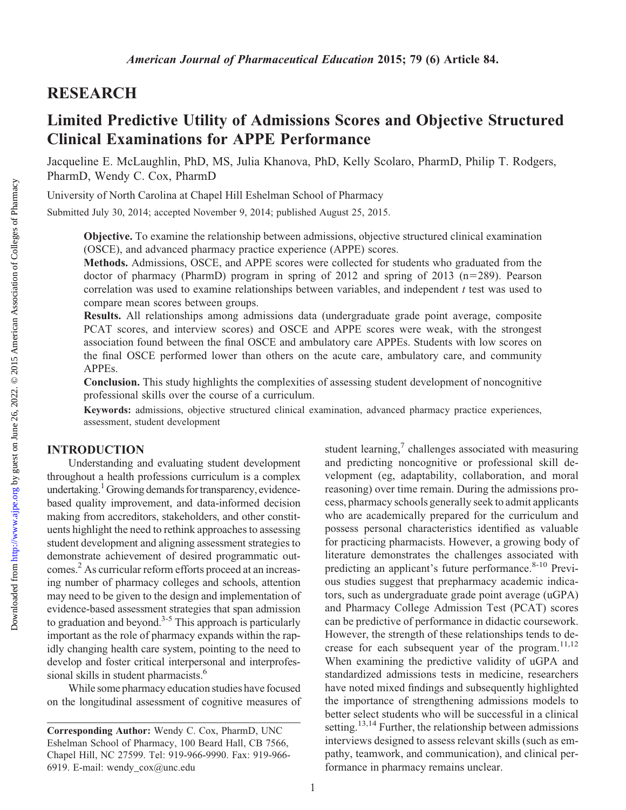# RESEARCH

# Limited Predictive Utility of Admissions Scores and Objective Structured Clinical Examinations for APPE Performance

Jacqueline E. McLaughlin, PhD, MS, Julia Khanova, PhD, Kelly Scolaro, PharmD, Philip T. Rodgers, PharmD, Wendy C. Cox, PharmD

University of North Carolina at Chapel Hill Eshelman School of Pharmacy

Submitted July 30, 2014; accepted November 9, 2014; published August 25, 2015.

Objective. To examine the relationship between admissions, objective structured clinical examination (OSCE), and advanced pharmacy practice experience (APPE) scores.

Methods. Admissions, OSCE, and APPE scores were collected for students who graduated from the doctor of pharmacy (PharmD) program in spring of 2012 and spring of 2013 (n=289). Pearson correlation was used to examine relationships between variables, and independent  $t$  test was used to compare mean scores between groups.

Results. All relationships among admissions data (undergraduate grade point average, composite PCAT scores, and interview scores) and OSCE and APPE scores were weak, with the strongest association found between the final OSCE and ambulatory care APPEs. Students with low scores on the final OSCE performed lower than others on the acute care, ambulatory care, and community APPEs.

Conclusion. This study highlights the complexities of assessing student development of noncognitive professional skills over the course of a curriculum.

Keywords: admissions, objective structured clinical examination, advanced pharmacy practice experiences, assessment, student development

### INTRODUCTION

Understanding and evaluating student development throughout a health professions curriculum is a complex undertaking.<sup>1</sup> Growing demands for transparency, evidencebased quality improvement, and data-informed decision making from accreditors, stakeholders, and other constituents highlight the need to rethink approaches to assessing student development and aligning assessment strategies to demonstrate achievement of desired programmatic outcomes.2 As curricular reform efforts proceed at an increasing number of pharmacy colleges and schools, attention may need to be given to the design and implementation of evidence-based assessment strategies that span admission to graduation and beyond. $3-5$  This approach is particularly important as the role of pharmacy expands within the rapidly changing health care system, pointing to the need to develop and foster critical interpersonal and interprofessional skills in student pharmacists.<sup>6</sup>

While some pharmacy education studies have focused on the longitudinal assessment of cognitive measures of student learning,<sup>7</sup> challenges associated with measuring and predicting noncognitive or professional skill development (eg, adaptability, collaboration, and moral reasoning) over time remain. During the admissions process, pharmacy schools generally seek to admit applicants who are academically prepared for the curriculum and possess personal characteristics identified as valuable for practicing pharmacists. However, a growing body of literature demonstrates the challenges associated with predicting an applicant's future performance. $8-10$  Previous studies suggest that prepharmacy academic indicators, such as undergraduate grade point average (uGPA) and Pharmacy College Admission Test (PCAT) scores can be predictive of performance in didactic coursework. However, the strength of these relationships tends to decrease for each subsequent year of the program. $11,12$ When examining the predictive validity of uGPA and standardized admissions tests in medicine, researchers have noted mixed findings and subsequently highlighted the importance of strengthening admissions models to better select students who will be successful in a clinical setting.<sup>13,14</sup> Further, the relationship between admissions interviews designed to assess relevant skills (such as empathy, teamwork, and communication), and clinical performance in pharmacy remains unclear.

Corresponding Author: Wendy C. Cox, PharmD, UNC Eshelman School of Pharmacy, 100 Beard Hall, CB 7566, Chapel Hill, NC 27599. Tel: 919-966-9990. Fax: 919-966- 6919. E-mail: wendy\_cox@unc.edu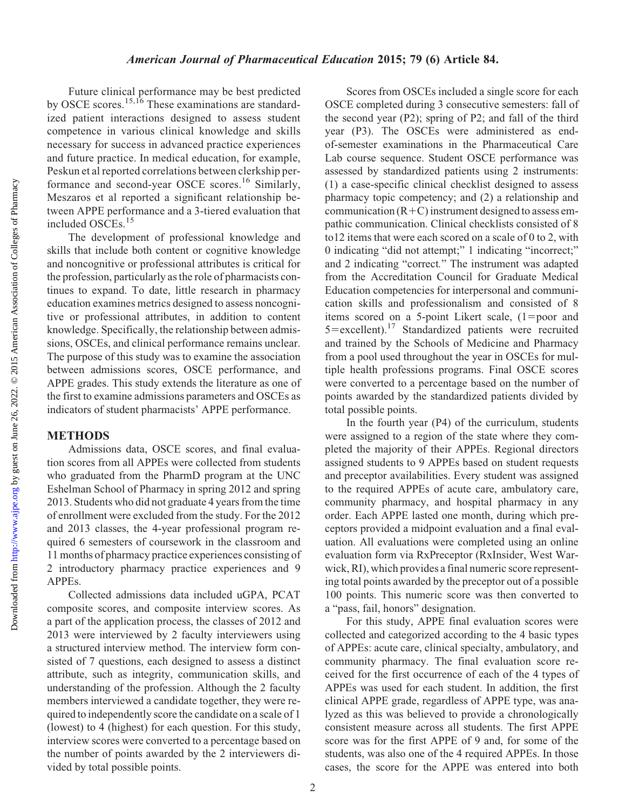#### American Journal of Pharmaceutical Education 2015; 79 (6) Article 84.

Future clinical performance may be best predicted by OSCE scores.15,16 These examinations are standardized patient interactions designed to assess student competence in various clinical knowledge and skills necessary for success in advanced practice experiences and future practice. In medical education, for example, Peskun et al reported correlations between clerkship performance and second-year OSCE scores.<sup>16</sup> Similarly, Meszaros et al reported a significant relationship between APPE performance and a 3-tiered evaluation that included OSCEs.<sup>15</sup>

The development of professional knowledge and skills that include both content or cognitive knowledge and noncognitive or professional attributes is critical for the profession, particularly as the role of pharmacists continues to expand. To date, little research in pharmacy education examines metrics designed to assess noncognitive or professional attributes, in addition to content knowledge. Specifically, the relationship between admissions, OSCEs, and clinical performance remains unclear. The purpose of this study was to examine the association between admissions scores, OSCE performance, and APPE grades. This study extends the literature as one of the first to examine admissions parameters and OSCEs as indicators of student pharmacists' APPE performance.

#### METHODS

Admissions data, OSCE scores, and final evaluation scores from all APPEs were collected from students who graduated from the PharmD program at the UNC Eshelman School of Pharmacy in spring 2012 and spring 2013. Students who did not graduate 4 years from the time of enrollment were excluded from the study. For the 2012 and 2013 classes, the 4-year professional program required 6 semesters of coursework in the classroom and 11 months of pharmacy practice experiences consisting of 2 introductory pharmacy practice experiences and 9 APPEs.

Collected admissions data included uGPA, PCAT composite scores, and composite interview scores. As a part of the application process, the classes of 2012 and 2013 were interviewed by 2 faculty interviewers using a structured interview method. The interview form consisted of 7 questions, each designed to assess a distinct attribute, such as integrity, communication skills, and understanding of the profession. Although the 2 faculty members interviewed a candidate together, they were required to independently score the candidate on a scale of 1 (lowest) to 4 (highest) for each question. For this study, interview scores were converted to a percentage based on the number of points awarded by the 2 interviewers divided by total possible points.

Scores from OSCEs included a single score for each OSCE completed during 3 consecutive semesters: fall of the second year (P2); spring of P2; and fall of the third year (P3). The OSCEs were administered as endof-semester examinations in the Pharmaceutical Care Lab course sequence. Student OSCE performance was assessed by standardized patients using 2 instruments: (1) a case-specific clinical checklist designed to assess pharmacy topic competency; and (2) a relationship and communication  $(R+C)$  instrument designed to assess empathic communication. Clinical checklists consisted of 8 to12 items that were each scored on a scale of 0 to 2, with 0 indicating "did not attempt;" 1 indicating "incorrect;" and 2 indicating "correct." The instrument was adapted from the Accreditation Council for Graduate Medical Education competencies for interpersonal and communication skills and professionalism and consisted of 8 items scored on a 5-point Likert scale,  $(1=poor$  and 5=excellent).<sup>17</sup> Standardized patients were recruited and trained by the Schools of Medicine and Pharmacy from a pool used throughout the year in OSCEs for multiple health professions programs. Final OSCE scores were converted to a percentage based on the number of points awarded by the standardized patients divided by total possible points.

In the fourth year (P4) of the curriculum, students were assigned to a region of the state where they completed the majority of their APPEs. Regional directors assigned students to 9 APPEs based on student requests and preceptor availabilities. Every student was assigned to the required APPEs of acute care, ambulatory care, community pharmacy, and hospital pharmacy in any order. Each APPE lasted one month, during which preceptors provided a midpoint evaluation and a final evaluation. All evaluations were completed using an online evaluation form via RxPreceptor (RxInsider, West Warwick, RI), which provides a final numeric score representing total points awarded by the preceptor out of a possible 100 points. This numeric score was then converted to a "pass, fail, honors" designation.

For this study, APPE final evaluation scores were collected and categorized according to the 4 basic types of APPEs: acute care, clinical specialty, ambulatory, and community pharmacy. The final evaluation score received for the first occurrence of each of the 4 types of APPEs was used for each student. In addition, the first clinical APPE grade, regardless of APPE type, was analyzed as this was believed to provide a chronologically consistent measure across all students. The first APPE score was for the first APPE of 9 and, for some of the students, was also one of the 4 required APPEs. In those cases, the score for the APPE was entered into both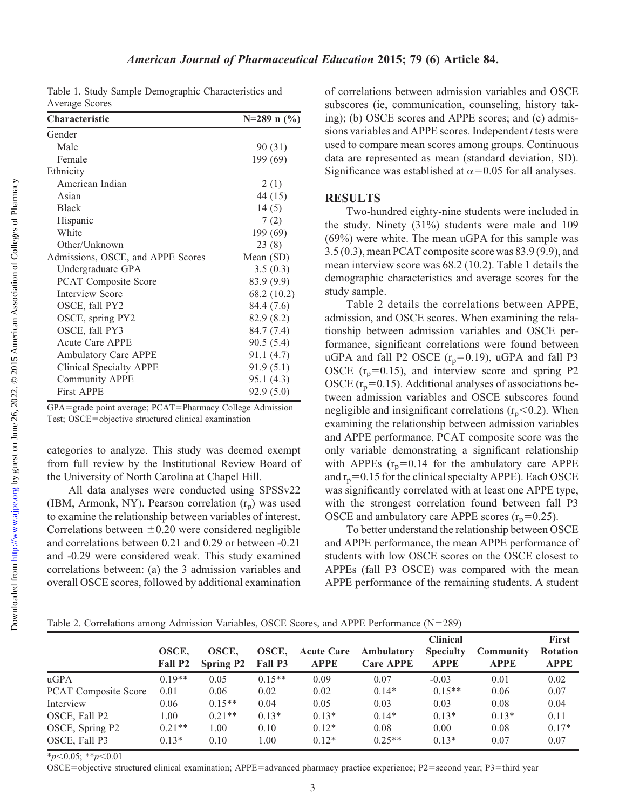|                | Table 1. Study Sample Demographic Characteristics and |  |
|----------------|-------------------------------------------------------|--|
| Average Scores |                                                       |  |

| UHAI AUUTI ISUU                   | $1 - 207$ II (70) |
|-----------------------------------|-------------------|
| Gender                            |                   |
| Male                              | 90 (31)           |
| Female                            | 199 (69)          |
| Ethnicity                         |                   |
| American Indian                   | 2(1)              |
| Asian                             | 44 (15)           |
| <b>Black</b>                      | 14(5)             |
| Hispanic                          | 7(2)              |
| White                             | 199 (69)          |
| Other/Unknown                     | 23(8)             |
| Admissions, OSCE, and APPE Scores | Mean $(SD)$       |
| Undergraduate GPA                 | 3.5(0.3)          |
| <b>PCAT Composite Score</b>       | 83.9 (9.9)        |
| Interview Score                   | 68.2 (10.2)       |
| OSCE, fall PY2                    | 84.4 (7.6)        |
| OSCE, spring PY2                  | 82.9 (8.2)        |
| OSCE, fall PY3                    | 84.7 (7.4)        |
| Acute Care APPE                   | 90.5(5.4)         |
| <b>Ambulatory Care APPE</b>       | 91.1 (4.7)        |
| Clinical Specialty APPE           | 91.9(5.1)         |
| <b>Community APPE</b>             | 95.1 (4.3)        |
| <b>First APPE</b>                 | 92.9(5.0)         |
|                                   |                   |

 $GPA = grade$  point average;  $PCAT = Pharmacy$  College Admission Test; OSCE=objective structured clinical examination

categories to analyze. This study was deemed exempt from full review by the Institutional Review Board of the University of North Carolina at Chapel Hill.

All data analyses were conducted using SPSSv22 (IBM, Armonk, NY). Pearson correlation  $(r_p)$  was used to examine the relationship between variables of interest. Correlations between  $\pm 0.20$  were considered negligible and correlations between 0.21 and 0.29 or between -0.21 and -0.29 were considered weak. This study examined correlations between: (a) the 3 admission variables and overall OSCE scores, followed by additional examination of correlations between admission variables and OSCE subscores (ie, communication, counseling, history taking); (b) OSCE scores and APPE scores; and (c) admissions variables and APPE scores. Independent t tests were used to compare mean scores among groups. Continuous data are represented as mean (standard deviation, SD). Significance was established at  $\alpha$ =0.05 for all analyses.

#### RESULTS

Two-hundred eighty-nine students were included in the study. Ninety (31%) students were male and 109 (69%) were white. The mean uGPA for this sample was 3.5 (0.3), mean PCAT composite score was 83.9 (9.9), and mean interview score was 68.2 (10.2). Table 1 details the demographic characteristics and average scores for the study sample.

Table 2 details the correlations between APPE, admission, and OSCE scores. When examining the relationship between admission variables and OSCE performance, significant correlations were found between uGPA and fall P2 OSCE  $(r_p=0.19)$ , uGPA and fall P3 OSCE  $(r_p=0.15)$ , and interview score and spring P2 OSCE  $(r_p=0.15)$ . Additional analyses of associations between admission variables and OSCE subscores found negligible and insignificant correlations  $(r_p<0.2)$ . When examining the relationship between admission variables and APPE performance, PCAT composite score was the only variable demonstrating a significant relationship with APPEs  $(r_p=0.14$  for the ambulatory care APPE and  $r_p=0.15$  for the clinical specialty APPE). Each OSCE was significantly correlated with at least one APPE type, with the strongest correlation found between fall P3 OSCE and ambulatory care APPE scores  $(r_p=0.25)$ .

To better understand the relationship between OSCE and APPE performance, the mean APPE performance of students with low OSCE scores on the OSCE closest to APPEs (fall P3 OSCE) was compared with the mean APPE performance of the remaining students. A student

|  |  |  |  |  |  |  | Table 2. Correlations among Admission Variables, OSCE Scores, and APPE Performance $(N=289)$ |  |
|--|--|--|--|--|--|--|----------------------------------------------------------------------------------------------|--|
|--|--|--|--|--|--|--|----------------------------------------------------------------------------------------------|--|

|                             |                  |                           |                  |                                  |                                | <b>Clinical</b>                 |                                 | <b>First</b>                   |
|-----------------------------|------------------|---------------------------|------------------|----------------------------------|--------------------------------|---------------------------------|---------------------------------|--------------------------------|
|                             | OSCE.<br>Fall P2 | OSCE.<br><b>Spring P2</b> | OSCE.<br>Fall P3 | <b>Acute Care</b><br><b>APPE</b> | Ambulatory<br><b>Care APPE</b> | <b>Specialty</b><br><b>APPE</b> | <b>Community</b><br><b>APPE</b> | <b>Rotation</b><br><b>APPE</b> |
| uGPA                        | $0.19**$         | 0.05                      | $0.15**$         | 0.09                             | 0.07                           | $-0.03$                         | 0.01                            | 0.02                           |
| <b>PCAT</b> Composite Score | 0.01             | 0.06                      | 0.02             | 0.02                             | $0.14*$                        | $0.15**$                        | 0.06                            | 0.07                           |
| Interview                   | 0.06             | $0.15**$                  | 0.04             | 0.05                             | 0.03                           | 0.03                            | 0.08                            | 0.04                           |
| OSCE, Fall P2               | 1.00             | $0.21**$                  | $0.13*$          | $0.13*$                          | $0.14*$                        | $0.13*$                         | $0.13*$                         | 0.11                           |
| OSCE, Spring P2             | $0.21**$         | 1.00                      | 0.10             | $0.12*$                          | 0.08                           | 0.00                            | 0.08                            | $0.17*$                        |
| OSCE, Fall P3               | $0.13*$          | 0.10                      | 1.00             | $0.12*$                          | $0.25**$                       | $0.13*$                         | 0.07                            | 0.07                           |

 $*_{p<0.05;}$   $*_{p<0.01}$ 

 $OSEE = object$  objective structured clinical examination; APPE=advanced pharmacy practice experience; P2=second year; P3=third year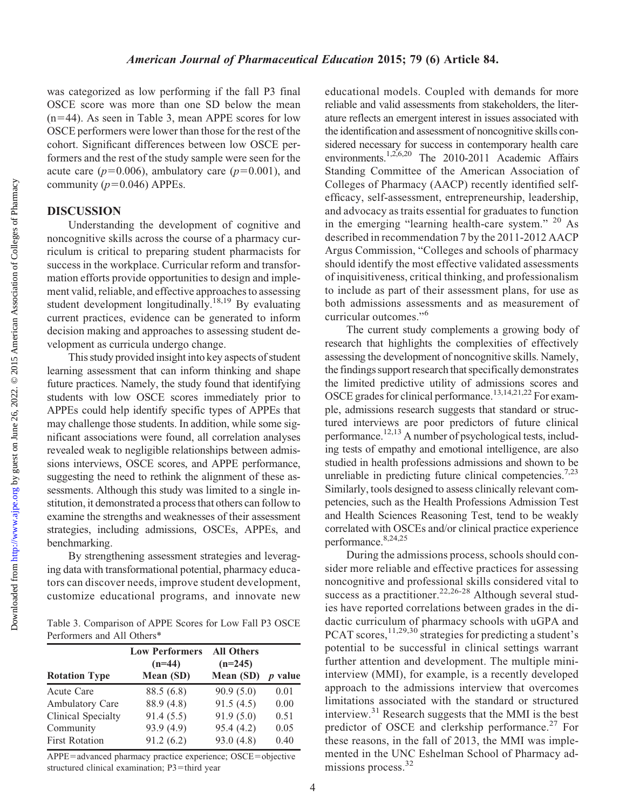Downloaded from

was categorized as low performing if the fall P3 final OSCE score was more than one SD below the mean  $(n=44)$ . As seen in Table 3, mean APPE scores for low OSCE performers were lower than those for the rest of the cohort. Significant differences between low OSCE performers and the rest of the study sample were seen for the acute care ( $p=0.006$ ), ambulatory care ( $p=0.001$ ), and community ( $p=0.046$ ) APPEs.

# DISCUSSION

Understanding the development of cognitive and noncognitive skills across the course of a pharmacy curriculum is critical to preparing student pharmacists for success in the workplace. Curricular reform and transformation efforts provide opportunities to design and implement valid, reliable, and effective approaches to assessing student development longitudinally.18,19 By evaluating current practices, evidence can be generated to inform decision making and approaches to assessing student development as curricula undergo change.

This study provided insight into key aspects of student learning assessment that can inform thinking and shape future practices. Namely, the study found that identifying students with low OSCE scores immediately prior to APPEs could help identify specific types of APPEs that may challenge those students. In addition, while some significant associations were found, all correlation analyses revealed weak to negligible relationships between admissions interviews, OSCE scores, and APPE performance, suggesting the need to rethink the alignment of these assessments. Although this study was limited to a single institution, it demonstrated a process that others can follow to examine the strengths and weaknesses of their assessment strategies, including admissions, OSCEs, APPEs, and benchmarking.

By strengthening assessment strategies and leveraging data with transformational potential, pharmacy educators can discover needs, improve student development, customize educational programs, and innovate new

Table 3. Comparison of APPE Scores for Low Fall P3 OSCE Performers and All Others\*

| <b>Rotation Type</b>  | <b>Low Performers</b><br>$(n=44)$<br>Mean (SD) | <b>All Others</b><br>$(n=245)$<br>Mean (SD) | <i>p</i> value |
|-----------------------|------------------------------------------------|---------------------------------------------|----------------|
| Acute Care            | 88.5 (6.8)                                     | 90.9(5.0)                                   | 0.01           |
| Ambulatory Care       | 88.9 (4.8)                                     | 91.5(4.5)                                   | 0.00           |
| Clinical Specialty    | 91.4(5.5)                                      | 91.9(5.0)                                   | 0.51           |
| Community             | 93.9 (4.9)                                     | 95.4 (4.2)                                  | 0.05           |
| <b>First Rotation</b> | 91.2(6.2)                                      | 93.0(4.8)                                   | 0.40           |

APPE=advanced pharmacy practice experience; OSCE=objective structured clinical examination;  $P3$ =third year

educational models. Coupled with demands for more reliable and valid assessments from stakeholders, the literature reflects an emergent interest in issues associated with the identification and assessment of noncognitive skills considered necessary for success in contemporary health care environments.<sup>1,2,6,20</sup> The 2010-2011 Academic Affairs Standing Committee of the American Association of Colleges of Pharmacy (AACP) recently identified selfefficacy, self-assessment, entrepreneurship, leadership, and advocacy as traits essential for graduates to function in the emerging "learning health-care system."  $20$  As described in recommendation 7 by the 2011-2012 AACP Argus Commission, "Colleges and schools of pharmacy should identify the most effective validated assessments of inquisitiveness, critical thinking, and professionalism to include as part of their assessment plans, for use as both admissions assessments and as measurement of curricular outcomes."<sup>6</sup>

The current study complements a growing body of research that highlights the complexities of effectively assessing the development of noncognitive skills. Namely, the findings support research that specifically demonstrates the limited predictive utility of admissions scores and OSCE grades for clinical performance.<sup>13,14,21,22</sup> For example, admissions research suggests that standard or structured interviews are poor predictors of future clinical performance.12,13 A number of psychological tests, including tests of empathy and emotional intelligence, are also studied in health professions admissions and shown to be unreliable in predicting future clinical competencies.<sup>7,23</sup> Similarly, tools designed to assess clinically relevant competencies, such as the Health Professions Admission Test and Health Sciences Reasoning Test, tend to be weakly correlated with OSCEs and/or clinical practice experience performance.8,24,25

During the admissions process, schools should consider more reliable and effective practices for assessing noncognitive and professional skills considered vital to success as a practitioner.<sup>22,26-28</sup> Although several studies have reported correlations between grades in the didactic curriculum of pharmacy schools with uGPA and PCAT scores,<sup>11,29,30</sup> strategies for predicting a student's potential to be successful in clinical settings warrant further attention and development. The multiple miniinterview (MMI), for example, is a recently developed approach to the admissions interview that overcomes limitations associated with the standard or structured interview.<sup>31</sup> Research suggests that the MMI is the best predictor of OSCE and clerkship performance.<sup>27</sup> For these reasons, in the fall of 2013, the MMI was implemented in the UNC Eshelman School of Pharmacy admissions process.<sup>32</sup>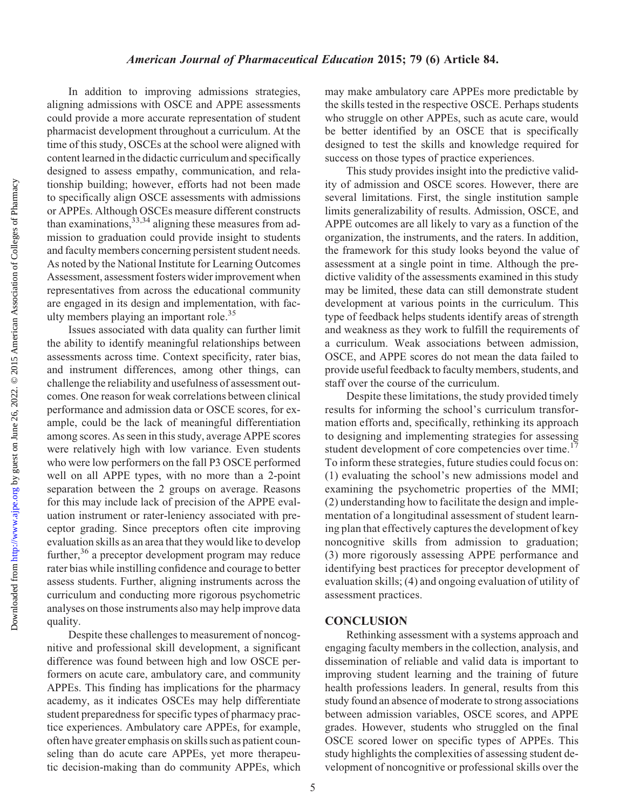In addition to improving admissions strategies, aligning admissions with OSCE and APPE assessments could provide a more accurate representation of student pharmacist development throughout a curriculum. At the time of this study, OSCEs at the school were aligned with content learned in the didactic curriculum and specifically designed to assess empathy, communication, and relationship building; however, efforts had not been made to specifically align OSCE assessments with admissions or APPEs. Although OSCEs measure different constructs than examinations,  $33,34$  aligning these measures from admission to graduation could provide insight to students and faculty members concerning persistent student needs. As noted by the National Institute for Learning Outcomes Assessment, assessment fosters wider improvement when representatives from across the educational community are engaged in its design and implementation, with faculty members playing an important role.35

Issues associated with data quality can further limit the ability to identify meaningful relationships between assessments across time. Context specificity, rater bias, and instrument differences, among other things, can challenge the reliability and usefulness of assessment outcomes. One reason for weak correlations between clinical performance and admission data or OSCE scores, for example, could be the lack of meaningful differentiation among scores. As seen in this study, average APPE scores were relatively high with low variance. Even students who were low performers on the fall P3 OSCE performed well on all APPE types, with no more than a 2-point separation between the 2 groups on average. Reasons for this may include lack of precision of the APPE evaluation instrument or rater-leniency associated with preceptor grading. Since preceptors often cite improving evaluation skills as an area that they would like to develop further,36 a preceptor development program may reduce rater bias while instilling confidence and courage to better assess students. Further, aligning instruments across the curriculum and conducting more rigorous psychometric analyses on those instruments also may help improve data quality.

Despite these challenges to measurement of noncognitive and professional skill development, a significant difference was found between high and low OSCE performers on acute care, ambulatory care, and community APPEs. This finding has implications for the pharmacy academy, as it indicates OSCEs may help differentiate student preparedness for specific types of pharmacy practice experiences. Ambulatory care APPEs, for example, often have greater emphasis on skills such as patient counseling than do acute care APPEs, yet more therapeutic decision-making than do community APPEs, which may make ambulatory care APPEs more predictable by the skills tested in the respective OSCE. Perhaps students who struggle on other APPEs, such as acute care, would be better identified by an OSCE that is specifically designed to test the skills and knowledge required for success on those types of practice experiences.

This study provides insight into the predictive validity of admission and OSCE scores. However, there are several limitations. First, the single institution sample limits generalizability of results. Admission, OSCE, and APPE outcomes are all likely to vary as a function of the organization, the instruments, and the raters. In addition, the framework for this study looks beyond the value of assessment at a single point in time. Although the predictive validity of the assessments examined in this study may be limited, these data can still demonstrate student development at various points in the curriculum. This type of feedback helps students identify areas of strength and weakness as they work to fulfill the requirements of a curriculum. Weak associations between admission, OSCE, and APPE scores do not mean the data failed to provide useful feedback to faculty members, students, and staff over the course of the curriculum.

Despite these limitations, the study provided timely results for informing the school's curriculum transformation efforts and, specifically, rethinking its approach to designing and implementing strategies for assessing student development of core competencies over time.<sup>17</sup> To inform these strategies, future studies could focus on: (1) evaluating the school's new admissions model and examining the psychometric properties of the MMI; (2) understanding how to facilitate the design and implementation of a longitudinal assessment of student learning plan that effectively captures the development of key noncognitive skills from admission to graduation; (3) more rigorously assessing APPE performance and identifying best practices for preceptor development of evaluation skills; (4) and ongoing evaluation of utility of assessment practices.

#### **CONCLUSION**

Rethinking assessment with a systems approach and engaging faculty members in the collection, analysis, and dissemination of reliable and valid data is important to improving student learning and the training of future health professions leaders. In general, results from this study found an absence of moderate to strong associations between admission variables, OSCE scores, and APPE grades. However, students who struggled on the final OSCE scored lower on specific types of APPEs. This study highlights the complexities of assessing student development of noncognitive or professional skills over the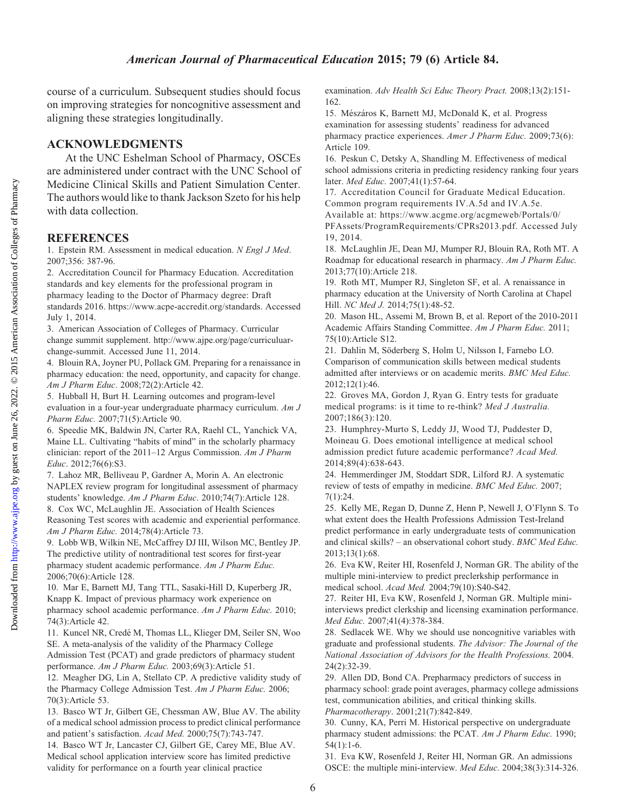Downloaded from

course of a curriculum. Subsequent studies should focus on improving strategies for noncognitive assessment and aligning these strategies longitudinally.

## ACKNOWLEDGMENTS

At the UNC Eshelman School of Pharmacy, OSCEs are administered under contract with the UNC School of Medicine Clinical Skills and Patient Simulation Center. The authors would like to thank Jackson Szeto for his help with data collection.

## **REFERENCES**

1. Epstein RM. Assessment in medical education. N Engl J Med. 2007;356: 387-96.

2. Accreditation Council for Pharmacy Education. Accreditation standards and key elements for the professional program in pharmacy leading to the Doctor of Pharmacy degree: Draft standards 2016. https://www.acpe-accredit.org/standards. Accessed July 1, 2014.

3. American Association of Colleges of Pharmacy. Curricular change summit supplement. http://www.ajpe.org/page/curriculuarchange-summit. Accessed June 11, 2014.

4. Blouin RA, Joyner PU, Pollack GM. Preparing for a renaissance in pharmacy education: the need, opportunity, and capacity for change. Am J Pharm Educ. 2008;72(2):Article 42.

5. Hubball H, Burt H. Learning outcomes and program-level evaluation in a four-year undergraduate pharmacy curriculum. Am J Pharm Educ. 2007;71(5):Article 90.

6. Speedie MK, Baldwin JN, Carter RA, Raehl CL, Yanchick VA, Maine LL. Cultivating "habits of mind" in the scholarly pharmacy clinician: report of the 2011–12 Argus Commission. Am J Pharm Educ. 2012;76(6):S3.

7. Lahoz MR, Belliveau P, Gardner A, Morin A. An electronic NAPLEX review program for longitudinal assessment of pharmacy students' knowledge. Am J Pharm Educ. 2010;74(7):Article 128.

8. Cox WC, McLaughlin JE. Association of Health Sciences Reasoning Test scores with academic and experiential performance. Am J Pharm Educ. 2014;78(4):Article 73.

9. Lobb WB, Wilkin NE, McCaffrey DJ III, Wilson MC, Bentley JP. The predictive utility of nontraditional test scores for first-year pharmacy student academic performance. Am J Pharm Educ. 2006;70(6):Article 128.

10. Mar E, Barnett MJ, Tang TTL, Sasaki-Hill D, Kuperberg JR, Knapp K. Impact of previous pharmacy work experience on pharmacy school academic performance. Am J Pharm Educ. 2010; 74(3):Article 42.

11. Kuncel NR, Credé M, Thomas LL, Klieger DM, Seiler SN, Woo SE. A meta-analysis of the validity of the Pharmacy College Admission Test (PCAT) and grade predictors of pharmacy student performance. Am J Pharm Educ. 2003;69(3):Article 51.

12. Meagher DG, Lin A, Stellato CP. A predictive validity study of the Pharmacy College Admission Test. Am J Pharm Educ. 2006; 70(3):Article 53.

13. Basco WT Jr, Gilbert GE, Chessman AW, Blue AV. The ability of a medical school admission process to predict clinical performance and patient's satisfaction. Acad Med. 2000;75(7):743-747.

14. Basco WT Jr, Lancaster CJ, Gilbert GE, Carey ME, Blue AV. Medical school application interview score has limited predictive validity for performance on a fourth year clinical practice

examination. Adv Health Sci Educ Theory Pract. 2008;13(2):151- 162.

15. Mészáros K, Barnett MJ, McDonald K, et al. Progress examination for assessing students' readiness for advanced pharmacy practice experiences. Amer J Pharm Educ. 2009;73(6): Article 109.

16. Peskun C, Detsky A, Shandling M. Effectiveness of medical school admissions criteria in predicting residency ranking four years later. Med Educ. 2007;41(1):57-64.

17. Accreditation Council for Graduate Medical Education. Common program requirements IV.A.5d and IV.A.5e. Available at: https://www.acgme.org/acgmeweb/Portals/0/ PFAssets/ProgramRequirements/CPRs2013.pdf. Accessed July 19, 2014.

18. McLaughlin JE, Dean MJ, Mumper RJ, Blouin RA, Roth MT. A Roadmap for educational research in pharmacy. Am J Pharm Educ. 2013;77(10):Article 218.

19. Roth MT, Mumper RJ, Singleton SF, et al. A renaissance in pharmacy education at the University of North Carolina at Chapel Hill. NC Med J. 2014;75(1):48-52.

20. Mason HL, Assemi M, Brown B, et al. Report of the 2010-2011 Academic Affairs Standing Committee. Am J Pharm Educ. 2011; 75(10):Article S12.

21. Dahlin M, Söderberg S, Holm U, Nilsson I, Farnebo LO. Comparison of communication skills between medical students admitted after interviews or on academic merits. BMC Med Educ. 2012;12(1):46.

22. Groves MA, Gordon J, Ryan G. Entry tests for graduate medical programs: is it time to re-think? Med J Australia. 2007;186(3):120.

23. Humphrey-Murto S, Leddy JJ, Wood TJ, Puddester D, Moineau G. Does emotional intelligence at medical school admission predict future academic performance? Acad Med. 2014;89(4):638-643.

24. Hemmerdinger JM, Stoddart SDR, Lilford RJ. A systematic review of tests of empathy in medicine. BMC Med Educ. 2007; 7(1):24.

25. Kelly ME, Regan D, Dunne Z, Henn P, Newell J, O'Flynn S. To what extent does the Health Professions Admission Test-Ireland predict performance in early undergraduate tests of communication and clinical skills? – an observational cohort study. BMC Med Educ. 2013;13(1):68.

26. Eva KW, Reiter HI, Rosenfeld J, Norman GR. The ability of the multiple mini-interview to predict preclerkship performance in medical school. Acad Med. 2004;79(10):S40-S42.

27. Reiter HI, Eva KW, Rosenfeld J, Norman GR. Multiple miniinterviews predict clerkship and licensing examination performance. Med Educ. 2007;41(4):378-384.

28. Sedlacek WE. Why we should use noncognitive variables with graduate and professional students. The Advisor: The Journal of the National Association of Advisors for the Health Professions. 2004. 24(2):32-39.

29. Allen DD, Bond CA. Prepharmacy predictors of success in pharmacy school: grade point averages, pharmacy college admissions test, communication abilities, and critical thinking skills. Pharmacotherapy. 2001;21(7):842-849.

30. Cunny, KA, Perri M. Historical perspective on undergraduate pharmacy student admissions: the PCAT. Am J Pharm Educ. 1990; 54(1):1-6.

31. Eva KW, Rosenfeld J, Reiter HI, Norman GR. An admissions OSCE: the multiple mini-interview. Med Educ. 2004;38(3):314-326.